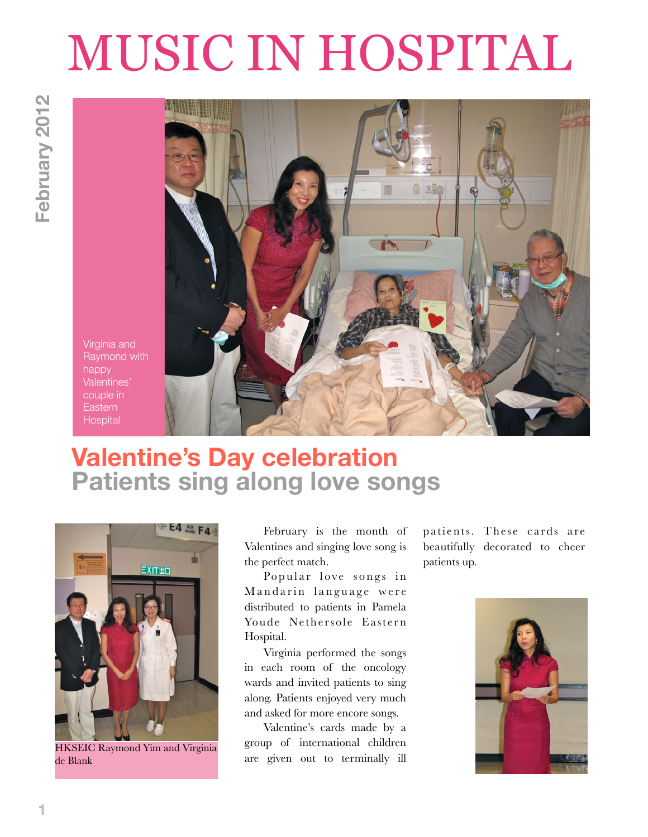## MUSIC IN HOSPITAL



## **Valentine's Day celebration Patients sing along love songs**



HKSEIC Raymond Yim and Virginia de Blank

February is the month of Valentines and singing love song is the perfect match.

Popular love songs in Mandarin language were distributed to patients in Pamela Youde Nethersole Eastern Hospital.

Virginia performed the songs in each room of the oncology wards and invited patients to sing along. Patients enjoyed very much and asked for more encore songs.

Valentine's cards made by a group of international children are given out to terminally ill patients. These cards are beautifully decorated to cheer patients up.